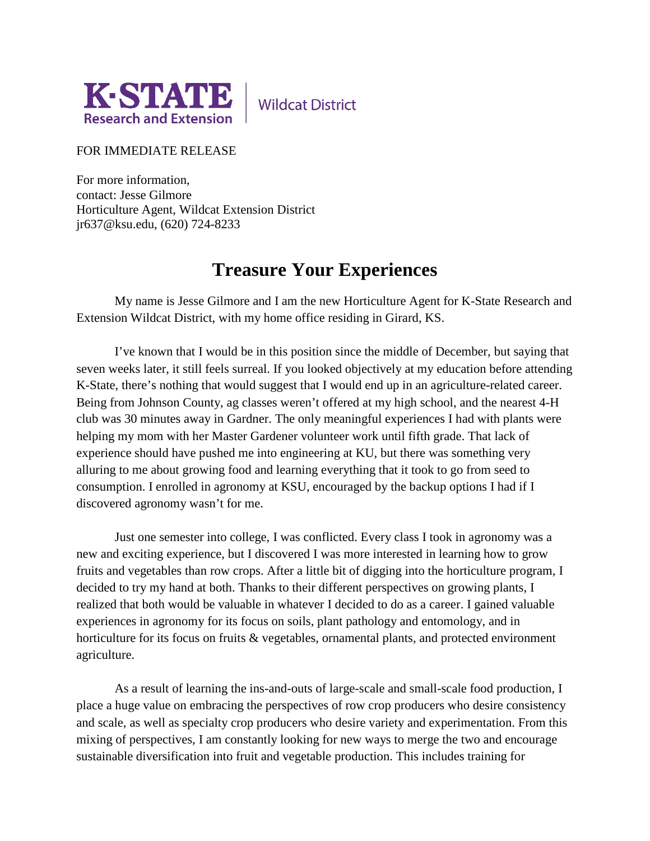

**Wildcat District** 

## FOR IMMEDIATE RELEASE

For more information, contact: Jesse Gilmore Horticulture Agent, Wildcat Extension District jr637@ksu.edu, (620) 724-8233

## **Treasure Your Experiences**

My name is Jesse Gilmore and I am the new Horticulture Agent for K-State Research and Extension Wildcat District, with my home office residing in Girard, KS.

I've known that I would be in this position since the middle of December, but saying that seven weeks later, it still feels surreal. If you looked objectively at my education before attending K-State, there's nothing that would suggest that I would end up in an agriculture-related career. Being from Johnson County, ag classes weren't offered at my high school, and the nearest 4-H club was 30 minutes away in Gardner. The only meaningful experiences I had with plants were helping my mom with her Master Gardener volunteer work until fifth grade. That lack of experience should have pushed me into engineering at KU, but there was something very alluring to me about growing food and learning everything that it took to go from seed to consumption. I enrolled in agronomy at KSU, encouraged by the backup options I had if I discovered agronomy wasn't for me.

Just one semester into college, I was conflicted. Every class I took in agronomy was a new and exciting experience, but I discovered I was more interested in learning how to grow fruits and vegetables than row crops. After a little bit of digging into the horticulture program, I decided to try my hand at both. Thanks to their different perspectives on growing plants, I realized that both would be valuable in whatever I decided to do as a career. I gained valuable experiences in agronomy for its focus on soils, plant pathology and entomology, and in horticulture for its focus on fruits & vegetables, ornamental plants, and protected environment agriculture.

As a result of learning the ins-and-outs of large-scale and small-scale food production, I place a huge value on embracing the perspectives of row crop producers who desire consistency and scale, as well as specialty crop producers who desire variety and experimentation. From this mixing of perspectives, I am constantly looking for new ways to merge the two and encourage sustainable diversification into fruit and vegetable production. This includes training for